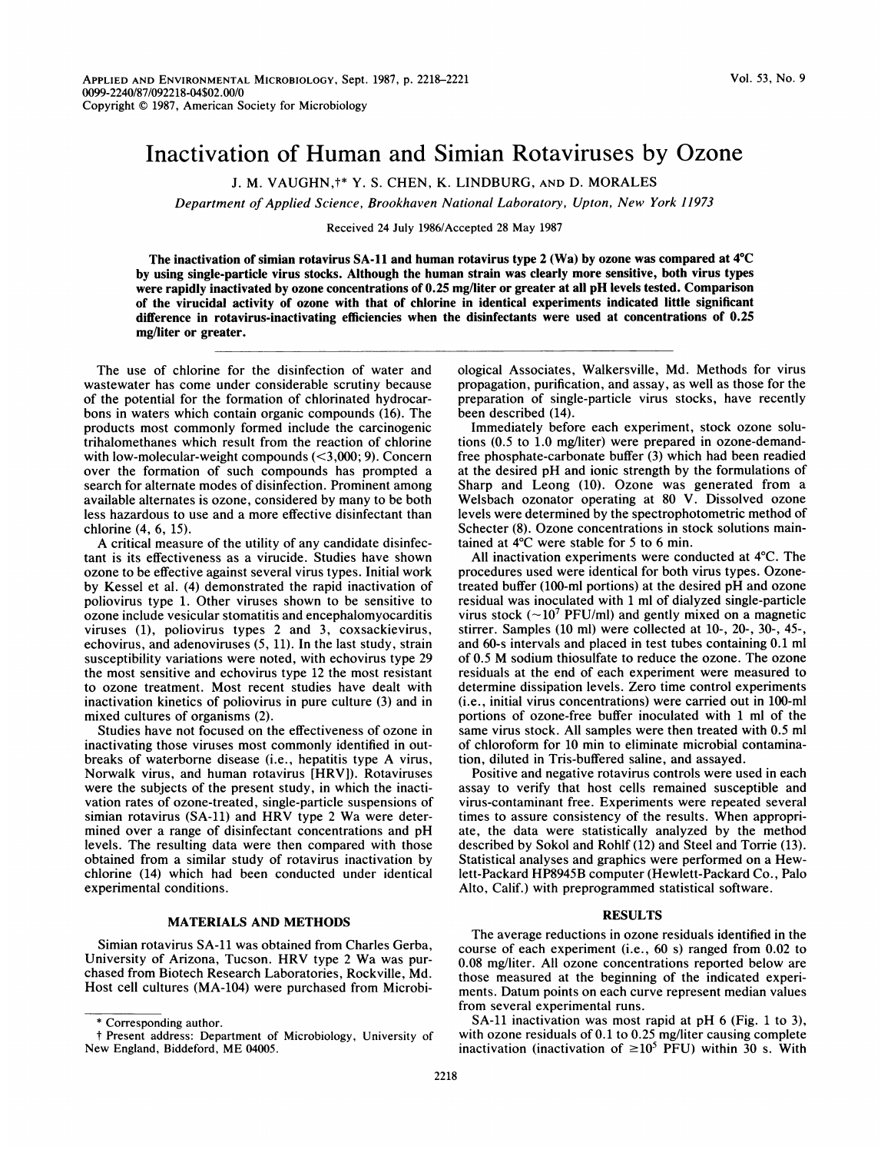# Inactivation of Human and Simian Rotaviruses by Ozone

J. M. VAUGHN,t\* Y. S. CHEN, K. LINDBURG, AND D. MORALES

Department of Applied Science, Brookhaven National Laboratory, Upton, New York 11973

Received 24 July 1986/Accepted 28 May 1987

The inactivation of simian rotavirus SA-11 and human rotavirus type 2 (Wa) by ozone was compared at 4°C by using single-particle virus stocks. Although the human strain was clearly more sensitive, both virus types were rapidly inactivated by ozone concentrations of 0.25 mg/liter or greater at all pH levels tested. Comparison of the virucidal activity of ozone with that of chlorine in identical experiments indicated little significant difference in rotavirus-inactivating efficiencies when the disinfectants were used at concentrations of 0.25 mg/liter or greater.

The use of chlorine for the disinfection of water and wastewater has come under considerable scrutiny because of the potential for the formation of chlorinated hydrocarbons in waters which contain organic compounds (16). The products most commonly formed include the carcinogenic trihalomethanes which result from the reaction of chlorine with low-molecular-weight compounds (<3,000; 9). Concern over the formation of such compounds has prompted a search for alternate modes of disinfection. Prominent among available alternates is ozone, considered by many to be both less hazardous to use and a more effective disinfectant than chlorine (4, 6, 15).

A critical measure of the utility of any candidate disinfectant is its effectiveness as a virucide. Studies have shown ozone to be effective against several virus types. Initial work by Kessel et al. (4) demonstrated the rapid inactivation of poliovirus type 1. Other viruses shown to be sensitive to ozone include vesicular stomatitis and encephalomyocarditis viruses (1), poliovirus types 2 and 3, coxsackievirus, echovirus, and adenoviruses (5, 11). In the last study, strain susceptibility variations were noted, with echovirus type 29 the most sensitive and echovirus type 12 the most resistant to ozone treatment. Most recent studies have dealt with inactivation kinetics of poliovirus in pure culture (3) and in mixed cultures of organisms (2).

Studies have not focused on the effectiveness of ozone in inactivating those viruses most commonly identified in outbreaks of waterborne disease (i.e., hepatitis type A virus, Norwalk virus, and human rotavirus [HRV]). Rotaviruses were the subjects of the present study, in which the inactivation rates of ozone-treated, single-particle suspensions of simian rotavirus (SA-11) and HRV type <sup>2</sup> Wa were determined over a range of disinfectant concentrations and pH levels. The resulting data were then compared with those obtained from a similar study of rotavirus inactivation by chlorine (14) which had been conducted under identical experimental conditions.

### MATERIALS AND METHODS

Simian rotavirus SA-11 was obtained from Charles Gerba, University of Arizona, Tucson. HRV type <sup>2</sup> Wa was purchased from Biotech Research Laboratories, Rockville, Md. Host cell cultures (MA-104) were purchased from Microbiological Associates, Walkersville, Md. Methods for virus propagation, purification, and assay, as well as those for the preparation of single-particle virus stocks, have recently been described (14).

Immediately before each experiment, stock ozone solutions (0.5 to 1.0 mg/liter) were prepared in ozone-demandfree phosphate-carbonate buffer (3) which had been readied at the desired pH and ionic strength by the formulations of Sharp and Leong (10). Ozone was generated from a Welsbach ozonator operating at 80 V. Dissolved ozone levels were determined by the spectrophotometric method of Schecter (8). Ozone concentrations in stock solutions maintained at 4°C were stable for 5 to 6 min.

All inactivation experiments were conducted at 4°C. The procedures used were identical for both virus types. Ozonetreated buffer (100-ml portions) at the desired pH and ozone residual was inoculated with <sup>1</sup> ml of dialyzed single-particle virus stock ( $\sim$ 10<sup>7</sup> PFU/ml) and gently mixed on a magnetic stirrer. Samples (10 ml) were collected at 10-, 20-, 30-, 45-, and 60-s intervals and placed in test tubes containing 0.1 ml of 0.5 M sodium thiosulfate to reduce the ozone. The ozone residuals at the end of each experiment were measured to determine dissipation levels. Zero time control experiments (i.e., initial virus concentrations) were carried out in 100-ml portions of ozone-free buffer inoculated with <sup>1</sup> ml of the same virus stock. All samples were then treated with 0.5 ml of chloroform for 10 min to eliminate microbial contamination, diluted in Tris-buffered saline, and assayed.

Positive and negative rotavirus controls were used in each assay to verify that host cells remained susceptible and virus-contaminant free. Experiments were repeated several times to assure consistency of the results. When appropriate, the data were statistically analyzed by the method described by Sokol and Rohlf (12) and Steel and Torrie (13). Statistical analyses and graphics were performed on a Hewlett-Packard HP8945B computer (Hewlett-Packard Co., Palo Alto, Calif.) with preprogrammed statistical software.

## RESULTS

The average reductions in ozone residuals identified in the course of each experiment (i.e., 60 s) ranged from 0.02 to 0.08 mg/liter. All ozone concentrations reported below are those measured at the beginning of the indicated experiments. Datum points on each curve represent median values from several experimental runs.

SA-11 inactivation was most rapid at pH 6 (Fig. <sup>1</sup> to 3), with ozone residuals of 0.1 to 0.25 mg/liter causing complete inactivation (inactivation of  $\geq 10^5$  PFU) within 30 s. With

<sup>\*</sup> Corresponding author.

t Present address: Department of Microbiology, University of New England, Biddeford, ME 04005.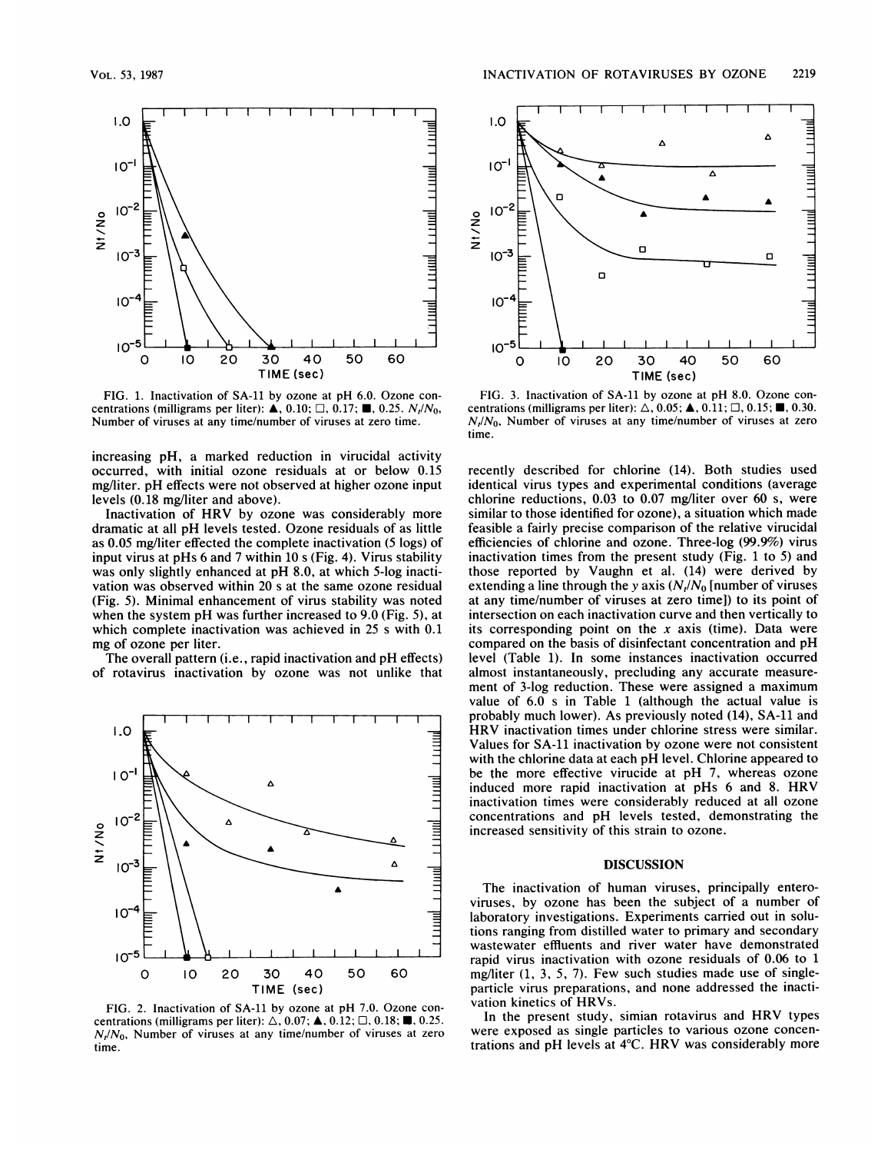

FIG. 1. Inactivation of SA-11 by ozone at pH 6.0. Ozone concentrations (milligrams per liter):  $\triangle$ , 0.10;  $\Box$ , 0.17;  $\blacksquare$ , 0.25.  $N_r/N_0$ , Number of viruses at any time/number of viruses at zero time.

increasing pH, a marked reduction in virucidal activity occurred, with initial ozone residuals at or below 0.15 mg/liter. pH effects were not observed at higher ozone input levels (0.18 mg/liter and above).

Inactivation of HRV by ozone was considerably more dramatic at all pH levels tested. Ozone residuals of as little as 0.05 mg/liter effected the complete inactivation (5 logs) of input virus at pHs 6 and 7 within 10 <sup>s</sup> (Fig. 4). Virus stability was only slightly enhanced at pH 8.0, at which 5-log inactivation was observed within 20 <sup>s</sup> at the same ozone residual (Fig. 5). Minimal enhancement of virus stability was noted when the system pH was further increased to 9.0 (Fig. 5), at which complete inactivation was achieved in 25 <sup>s</sup> with 0.1 mg of ozone per liter.

The overall pattern (i.e., rapid inactivation and pH effects) of rotavirus inactivation by ozone was not unlike that



FIG. 2. Inactivation of SA-11 by ozone at pH 7.0. Ozone concentrations (milligrams per liter):  $\triangle$ , 0.07;  $\triangle$ , 0.12;  $\Box$ , 0.18;  $\blacksquare$ , 0.25.  $N_t/N_0$ , Number of viruses at any time/number of viruses at zero time.



FIG. 3. Inactivation of SA-1l by ozone at pH 8.0. Ozone concentrations (milligrams per liter):  $\triangle$ , 0.05;  $\blacktriangle$ , 0.11;  $\Box$ , 0.15;  $\blacksquare$ , 0.30.  $N_t/N_0$ , Number of viruses at any time/number of viruses at zero time.

recently described for chlorine (14). Both studies used identical virus types and experimental conditions (average chlorine reductions, 0.03 to 0.07 mg/liter over 60 s, were similar to those identified for ozone), a situation which made feasible a fairly precise comparison of the relative virucidal efficiencies of chlorine and ozone. Three-log (99.9%) virus inactivation times from the present study (Fig. <sup>1</sup> to 5) and those reported by Vaughn et al. (14) were derived by extending a line through the y axis  $(N_t/N_0)$  [number of viruses at any time/number of viruses at zero time]) to its point of intersection on each inactivation curve and then vertically to its corresponding point on the x axis (time). Data were compared on the basis of disinfectant concentration and pH level (Table 1). In some instances inactivation occurred almost instantaneously, precluding any accurate measurement of 3-log reduction. These were assigned a maximum value of 6.0 s in Table 1 (although the actual value is probably much lower). As previously noted (14), SA-11 and HRV inactivation times under chlorine stress were similar. Values for SA-11 inactivation by ozone were not consistent with the chlorine data at each pH level. Chlorine appeared to be the more effective virucide at pH 7, whereas ozone induced more rapid inactivation at pHs <sup>6</sup> and 8. HRV inactivation times were considerably reduced at all ozone concentrations and pH levels tested, demonstrating the increased sensitivity of this strain to ozone.

### DISCUSSION

The inactivation of human viruses, principally enteroviruses, by ozone has been the subject of a number of laboratory investigations. Experiments carried out in solutions ranging from distilled water to primary and secondary wastewater effluents and river water have demonstrated rapid virus inactivation with ozone residuals of 0.06 to <sup>1</sup> mg/liter (1, 3, 5, 7). Few such studies made use of singleparticle virus preparations, and none addressed the inactivation kinetics of HRVs.

In the present study, simian rotavirus and HRV types were exposed as single particles to various ozone concentrations and pH levels at 4°C. HRV was considerably more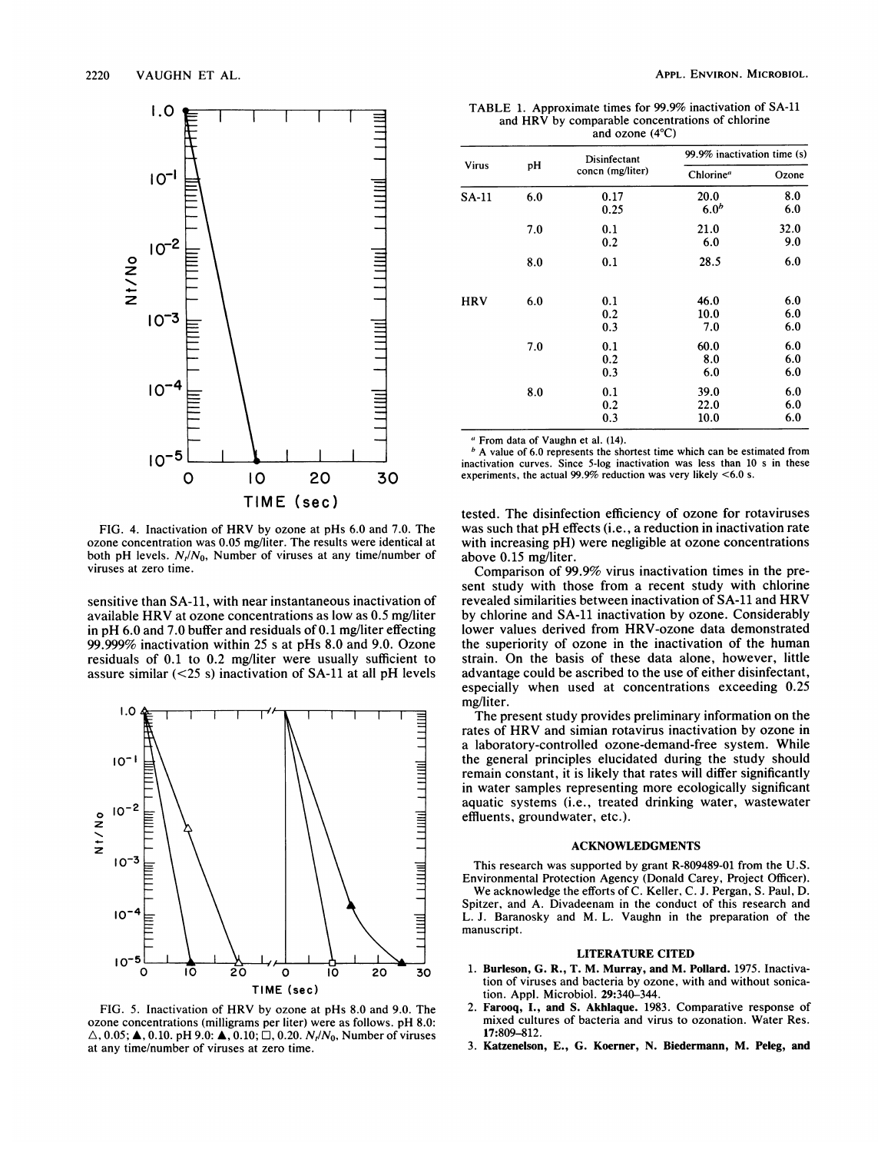

FIG. 4. Inactivation of HRV by ozone at pHs 6.0 and 7.0. The ozone concentration was 0.05 mg/liter. The results were identical at both pH levels.  $N_t/N_0$ , Number of viruses at any time/number of viruses at zero time.

sensitive than SA-11, with near instantaneous inactivation of available HRV at ozone concentrations as low as 0.5 mg/liter in pH 6.0 and 7.0 buffer and residuals of 0.1 mg/liter effecting 99.999% inactivation within 25 <sup>s</sup> at pHs 8.0 and 9.0. Ozone residuals of 0.1 to 0.2 mg/liter were usually sufficient to assure similar  $(<25 s)$  inactivation of SA-11 at all pH levels



FIG. 5. Inactivation of HRV by ozone at pHs 8.0 and 9.0. The ozone concentrations (milligrams per liter) were as follows. pH 8.0:  $\triangle$ , 0.05;  $\triangle$ , 0.10. pH 9.0:  $\triangle$ , 0.10;  $\square$ , 0.20.  $N_t/N_0$ , Number of viruses at any time/number of viruses at zero time.

TABLE 1. Approximate times for 99.9% inactivation of SA-11 and HRV by comparable concentrations of chlorine and ozone (4°C)

| <b>Virus</b> | pH  | Disinfectant<br>concn (mg/liter) | 99.9% inactivation time (s) |       |
|--------------|-----|----------------------------------|-----------------------------|-------|
|              |     |                                  | Chlorine <sup>a</sup>       | Ozone |
| $SA-11$      | 6.0 | 0.17                             | 20.0                        | 8.0   |
|              |     | 0.25                             | 6.0 <sup>b</sup>            | 6.0   |
|              | 7.0 | 0.1                              | 21.0                        | 32.0  |
|              |     | 0.2                              | 6.0                         | 9.0   |
|              | 8.0 | 0.1                              | 28.5                        | 6.0   |
| <b>HRV</b>   | 6.0 | 0.1                              | 46.0                        | 6.0   |
|              |     | 0.2                              | 10.0                        | 6.0   |
|              |     | 0.3                              | 7.0                         | 6.0   |
|              | 7.0 | 0.1                              | 60.0                        | 6.0   |
|              |     | 0.2                              | 8.0                         | 6.0   |
|              |     | 0.3                              | 6.0                         | 6.0   |
|              | 8.0 | 0.1                              | 39.0                        | 6.0   |
|              |     | 0.2                              | 22.0                        | 6.0   |
|              |     | 0.3                              | 10.0                        | 6.0   |

"From data of Vaughn et al. (14).

 $<sup>b</sup>$  A value of 6.0 represents the shortest time which can be estimated from</sup> inactivation curves. Since 5-log inactivation was less than 10 <sup>s</sup> in these experiments, the actual 99.9% reduction was very likely <6.0 s.

tested. The disinfection efficiency of ozone for rotaviruses was such that pH effects (i.e., <sup>a</sup> reduction in inactivation rate with increasing pH) were negligible at ozone concentrations above 0.15 mg/liter.

Comparison of 99.9% virus inactivation times in the present study with those from a recent study with chlorine revealed similarities between inactivation of SA-11 and HRV by chlorine and SA-11 inactivation by ozone. Considerably lower values derived from HRV-ozone data demonstrated the superiority of ozone in the inactivation of the human strain. On the basis of these data alone, however, little advantage could be ascribed to the use of either disinfectant, especially when used at concentrations exceeding 0.25 mg/liter.

The present study provides preliminary information on the rates of HRV and simian rotavirus inactivation by ozone in a laboratory-controlled ozone-demand-free system. While the general principles elucidated during the study should remain constant, it is likely that rates will differ significantly in water samples representing more ecologically significant aquatic systems (i.e., treated drinking water, wastewater effluents, groundwater, etc.).

### ACKNOWLEDGMENTS

This research was supported by grant R-809489-01 from the U.S. Environmental Protection Agency (Donald Carey, Project Officer). We acknowledge the efforts of C. Keller, C. J. Pergan, S. Paul, D. Spitzer, and A. Divadeenam in the conduct of this research and L. J. Baranosky and M. L. Vaughn in the preparation of the manuscript.

## LITERATURE CITED

- 1. Burleson, G. R., T. M. Murray, and M. Pollard. 1975. Inactivation of viruses and bacteria by ozone, with and without sonication. Appl. Microbiol. 29:340-344.
- Farooq, I., and S. Akhlaque. 1983. Comparative response of mixed cultures of bacteria and virus to ozonation. Water Res. 17:809-812.
- 3. Katzenelson, E., G. Koerner, N. Biedermann, M. Peleg, and